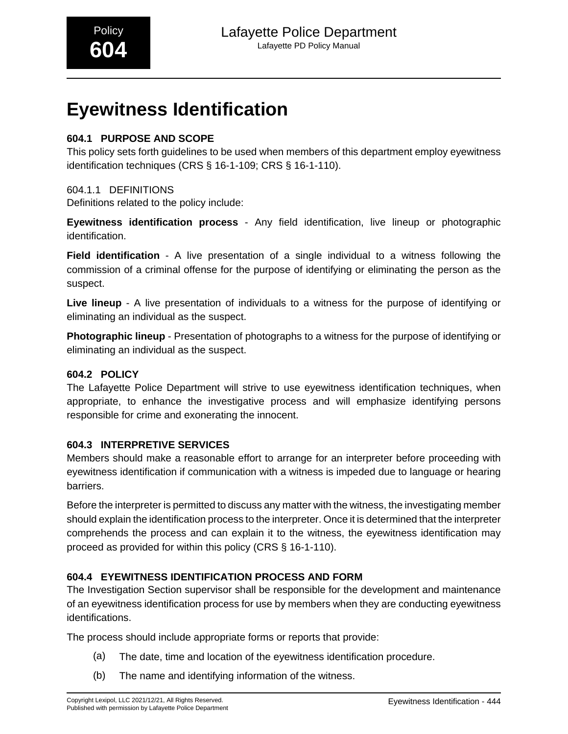# **Eyewitness Identification**

# **604.1 PURPOSE AND SCOPE**

This policy sets forth guidelines to be used when members of this department employ eyewitness identification techniques (CRS § 16-1-109; CRS § 16-1-110).

### 604.1.1 DEFINITIONS

Definitions related to the policy include:

**Eyewitness identification process** - Any field identification, live lineup or photographic identification.

**Field identification** - A live presentation of a single individual to a witness following the commission of a criminal offense for the purpose of identifying or eliminating the person as the suspect.

**Live lineup** - A live presentation of individuals to a witness for the purpose of identifying or eliminating an individual as the suspect.

**Photographic lineup** - Presentation of photographs to a witness for the purpose of identifying or eliminating an individual as the suspect.

# **604.2 POLICY**

The Lafayette Police Department will strive to use eyewitness identification techniques, when appropriate, to enhance the investigative process and will emphasize identifying persons responsible for crime and exonerating the innocent.

# **604.3 INTERPRETIVE SERVICES**

Members should make a reasonable effort to arrange for an interpreter before proceeding with eyewitness identification if communication with a witness is impeded due to language or hearing barriers.

Before the interpreter is permitted to discuss any matter with the witness, the investigating member should explain the identification process to the interpreter. Once it is determined that the interpreter comprehends the process and can explain it to the witness, the eyewitness identification may proceed as provided for within this policy (CRS § 16-1-110).

# **604.4 EYEWITNESS IDENTIFICATION PROCESS AND FORM**

The Investigation Section supervisor shall be responsible for the development and maintenance of an eyewitness identification process for use by members when they are conducting eyewitness identifications.

The process should include appropriate forms or reports that provide:

- (a) The date, time and location of the eyewitness identification procedure.
- (b) The name and identifying information of the witness.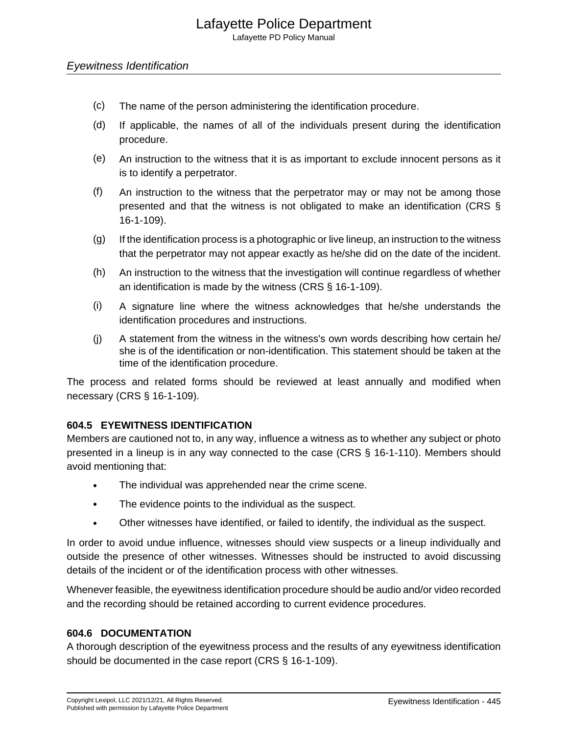Lafayette PD Policy Manual

### Eyewitness Identification

- (c) The name of the person administering the identification procedure.
- (d) If applicable, the names of all of the individuals present during the identification procedure.
- (e) An instruction to the witness that it is as important to exclude innocent persons as it is to identify a perpetrator.
- (f) An instruction to the witness that the perpetrator may or may not be among those presented and that the witness is not obligated to make an identification (CRS § 16-1-109).
- (g) If the identification process is a photographic or live lineup, an instruction to the witness that the perpetrator may not appear exactly as he/she did on the date of the incident.
- (h) An instruction to the witness that the investigation will continue regardless of whether an identification is made by the witness (CRS § 16-1-109).
- (i) A signature line where the witness acknowledges that he/she understands the identification procedures and instructions.
- (j) A statement from the witness in the witness's own words describing how certain he/ she is of the identification or non-identification. This statement should be taken at the time of the identification procedure.

The process and related forms should be reviewed at least annually and modified when necessary (CRS § 16-1-109).

# **604.5 EYEWITNESS IDENTIFICATION**

Members are cautioned not to, in any way, influence a witness as to whether any subject or photo presented in a lineup is in any way connected to the case (CRS § 16-1-110). Members should avoid mentioning that:

- The individual was apprehended near the crime scene.
- The evidence points to the individual as the suspect.
- Other witnesses have identified, or failed to identify, the individual as the suspect.

In order to avoid undue influence, witnesses should view suspects or a lineup individually and outside the presence of other witnesses. Witnesses should be instructed to avoid discussing details of the incident or of the identification process with other witnesses.

Whenever feasible, the eyewitness identification procedure should be audio and/or video recorded and the recording should be retained according to current evidence procedures.

### **604.6 DOCUMENTATION**

A thorough description of the eyewitness process and the results of any eyewitness identification should be documented in the case report (CRS § 16-1-109).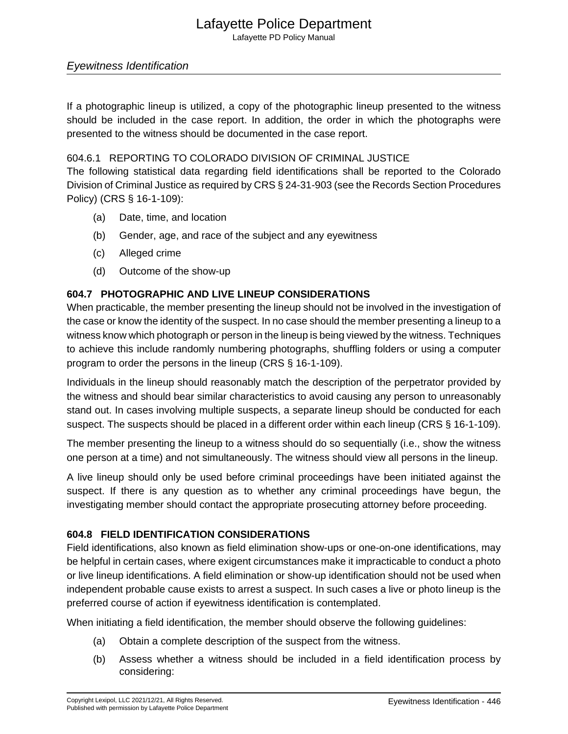# Lafayette Police Department

Lafayette PD Policy Manual

# Eyewitness Identification

If a photographic lineup is utilized, a copy of the photographic lineup presented to the witness should be included in the case report. In addition, the order in which the photographs were presented to the witness should be documented in the case report.

### 604.6.1 REPORTING TO COLORADO DIVISION OF CRIMINAL JUSTICE

The following statistical data regarding field identifications shall be reported to the Colorado Division of Criminal Justice as required by CRS § 24-31-903 (see the Records Section Procedures Policy) (CRS § 16-1-109):

- (a) Date, time, and location
- (b) Gender, age, and race of the subject and any eyewitness
- (c) Alleged crime
- (d) Outcome of the show-up

### **604.7 PHOTOGRAPHIC AND LIVE LINEUP CONSIDERATIONS**

When practicable, the member presenting the lineup should not be involved in the investigation of the case or know the identity of the suspect. In no case should the member presenting a lineup to a witness know which photograph or person in the lineup is being viewed by the witness. Techniques to achieve this include randomly numbering photographs, shuffling folders or using a computer program to order the persons in the lineup (CRS § 16-1-109).

Individuals in the lineup should reasonably match the description of the perpetrator provided by the witness and should bear similar characteristics to avoid causing any person to unreasonably stand out. In cases involving multiple suspects, a separate lineup should be conducted for each suspect. The suspects should be placed in a different order within each lineup (CRS § 16-1-109).

The member presenting the lineup to a witness should do so sequentially (i.e., show the witness one person at a time) and not simultaneously. The witness should view all persons in the lineup.

A live lineup should only be used before criminal proceedings have been initiated against the suspect. If there is any question as to whether any criminal proceedings have begun, the investigating member should contact the appropriate prosecuting attorney before proceeding.

### **604.8 FIELD IDENTIFICATION CONSIDERATIONS**

Field identifications, also known as field elimination show-ups or one-on-one identifications, may be helpful in certain cases, where exigent circumstances make it impracticable to conduct a photo or live lineup identifications. A field elimination or show-up identification should not be used when independent probable cause exists to arrest a suspect. In such cases a live or photo lineup is the preferred course of action if eyewitness identification is contemplated.

When initiating a field identification, the member should observe the following guidelines:

- (a) Obtain a complete description of the suspect from the witness.
- (b) Assess whether a witness should be included in a field identification process by considering: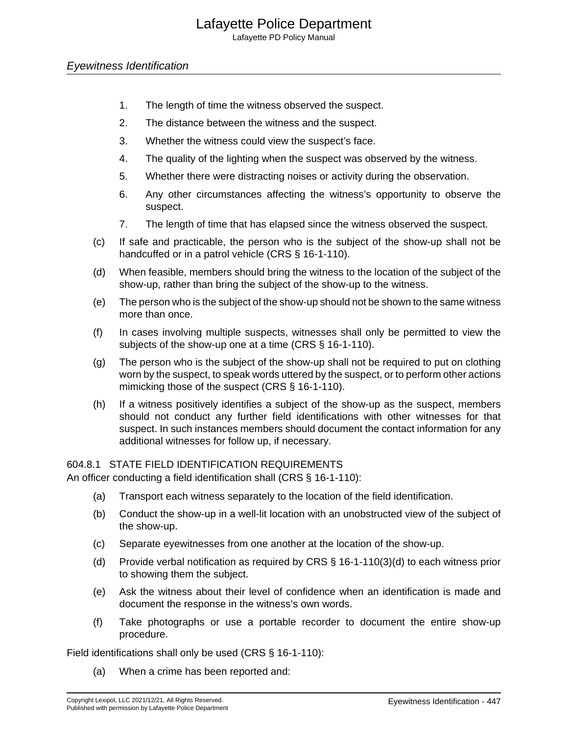# Lafayette Police Department

Lafayette PD Policy Manual

### Eyewitness Identification

- 1. The length of time the witness observed the suspect.
- 2. The distance between the witness and the suspect.
- 3. Whether the witness could view the suspect's face.
- 4. The quality of the lighting when the suspect was observed by the witness.
- 5. Whether there were distracting noises or activity during the observation.
- 6. Any other circumstances affecting the witness's opportunity to observe the suspect.
- 7. The length of time that has elapsed since the witness observed the suspect.
- (c) If safe and practicable, the person who is the subject of the show-up shall not be handcuffed or in a patrol vehicle (CRS § 16-1-110).
- (d) When feasible, members should bring the witness to the location of the subject of the show-up, rather than bring the subject of the show-up to the witness.
- (e) The person who is the subject of the show-up should not be shown to the same witness more than once.
- (f) In cases involving multiple suspects, witnesses shall only be permitted to view the subjects of the show-up one at a time (CRS § 16-1-110).
- (g) The person who is the subject of the show-up shall not be required to put on clothing worn by the suspect, to speak words uttered by the suspect, or to perform other actions mimicking those of the suspect (CRS § 16-1-110).
- (h) If a witness positively identifies a subject of the show-up as the suspect, members should not conduct any further field identifications with other witnesses for that suspect. In such instances members should document the contact information for any additional witnesses for follow up, if necessary.

604.8.1 STATE FIELD IDENTIFICATION REQUIREMENTS

An officer conducting a field identification shall (CRS § 16-1-110):

- (a) Transport each witness separately to the location of the field identification.
- (b) Conduct the show-up in a well-lit location with an unobstructed view of the subject of the show-up.
- (c) Separate eyewitnesses from one another at the location of the show-up.
- (d) Provide verbal notification as required by CRS § 16-1-110(3)(d) to each witness prior to showing them the subject.
- (e) Ask the witness about their level of confidence when an identification is made and document the response in the witness's own words.
- (f) Take photographs or use a portable recorder to document the entire show-up procedure.

Field identifications shall only be used (CRS § 16-1-110):

(a) When a crime has been reported and: